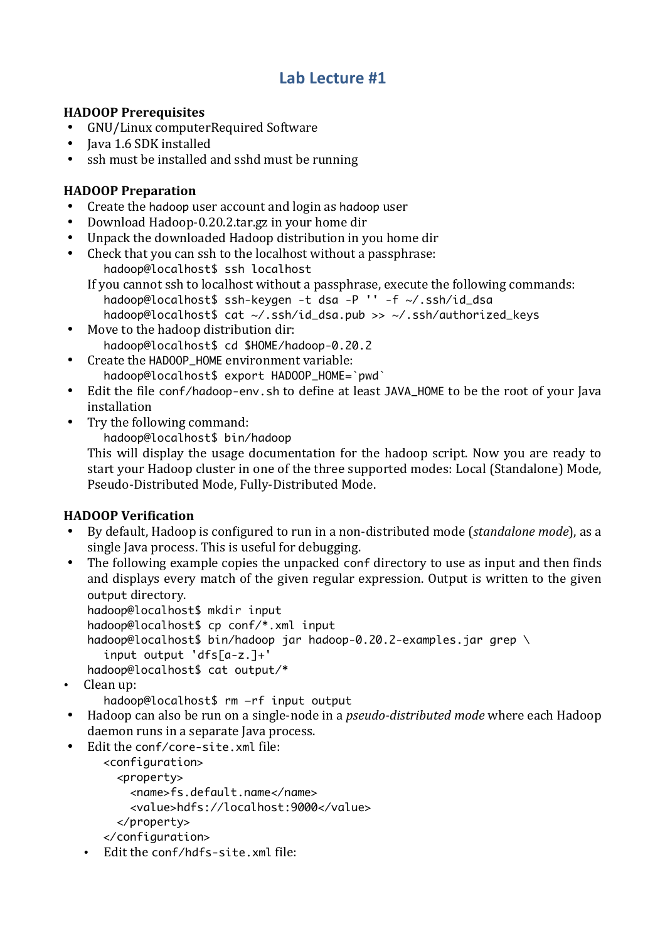## Lab Lecture #1

## **HADOOP Prerequisites**

- GNU/Linux computerRequired Software
- Iava 1.6 SDK installed
- ssh must be installed and sshd must be running

## **HADOOP Preparation**

- Create the hadoop user account and login as hadoop user  $\bullet$
- $\bullet$ Download Hadoop-0.20.2.tar.gz in your home dir
- Unpack the downloaded Hadoop distribution in you home dir
- $\bullet$ Check that you can ssh to the localhost without a passphrase:

hadoop@localhost\$ ssh localhost

- If you cannot ssh to localhost without a passphrase, execute the following commands:
	- hadoop@localhost\$ ssh-keygen -t dsa -P '' -f ~/.ssh/id\_dsa
- hadoop@localhost\$ cat ~/.ssh/id\_dsa.pub >> ~/.ssh/authorized\_keys • Move to the hadoop distribution dir:
	- hadoop@localhost\$ cd \$HOME/hadoop-0.20.2
- Create the HADOOP\_HOME environment variable:  $\bullet$ hadoop@localhost\$ export HADOOP\_HOME=`pwd`
- Edit the file conf/hadoop-env.sh to define at least JAVA\_HOME to be the root of your lava installation
- Try the following command:  $\bullet$

hadoop@localhost\$ bin/hadoop

This will display the usage documentation for the hadoop script. Now you are ready to start vour Hadoop cluster in one of the three supported modes: Local (Standalone) Mode, Pseudo-Distributed Mode, Fully-Distributed Mode.

## **HADOOP Verification**

- By default, Hadoop is configured to run in a non-distributed mode (*standalone mode*), as a  $\bullet$ single Java process. This is useful for debugging.
- The following example copies the unpacked conf directory to use as input and then finds and displays every match of the given regular expression. Output is written to the given output directory.

hadoop@localhost\$ mkdir input

hadoop@localhost\$ cp conf/\*.xml input

```
hadoop@localhost$ bin/hadoop jar hadoop-0.20.2-examples.jar grep \
```

```
input output 'dfs[a-z.]+'
```

```
hadoop@localhost$ cat output/*
```
 $\cdot$  Clean up:

hadoop@localhost\$ rm -rf input output

- Hadoop can also be run on a single-node in a *pseudo-distributed mode* where each Hadoop daemon runs in a separate Java process.
- Edit the conf/core-site.xml file:

<configuration> <property> <name>fs.default.name</name> <value>hdfs://localhost:9000</value> </property> </configuration>

· Edit the conf/hdfs-site.xml file: